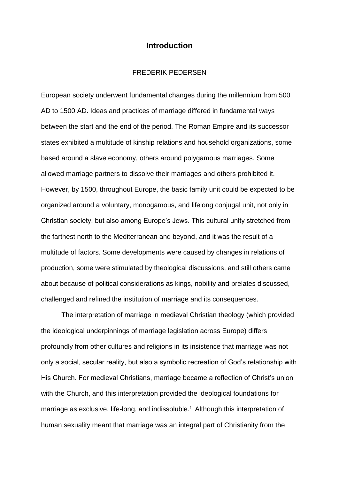# **Introduction**

## FREDERIK PEDERSEN

European society underwent fundamental changes during the millennium from 500 AD to 1500 AD. Ideas and practices of marriage differed in fundamental ways between the start and the end of the period. The Roman Empire and its successor states exhibited a multitude of kinship relations and household organizations, some based around a slave economy, others around polygamous marriages. Some allowed marriage partners to dissolve their marriages and others prohibited it. However, by 1500, throughout Europe, the basic family unit could be expected to be organized around a voluntary, monogamous, and lifelong conjugal unit, not only in Christian society, but also among Europe's Jews. This cultural unity stretched from the farthest north to the Mediterranean and beyond, and it was the result of a multitude of factors. Some developments were caused by changes in relations of production, some were stimulated by theological discussions, and still others came about because of political considerations as kings, nobility and prelates discussed, challenged and refined the institution of marriage and its consequences.

The interpretation of marriage in medieval Christian theology (which provided the ideological underpinnings of marriage legislation across Europe) differs profoundly from other cultures and religions in its insistence that marriage was not only a social, secular reality, but also a symbolic recreation of God's relationship with His Church. For medieval Christians, marriage became a reflection of Christ's union with the Church, and this interpretation provided the ideological foundations for marriage as exclusive, life-long, and indissoluble.<sup>1</sup> Although this interpretation of human sexuality meant that marriage was an integral part of Christianity from the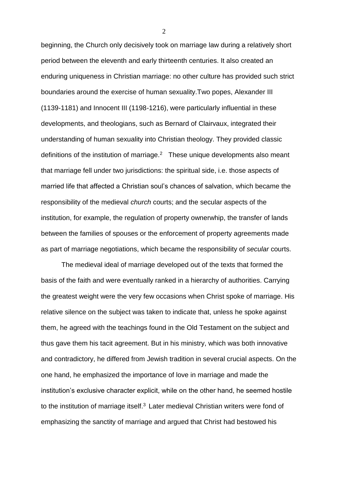beginning, the Church only decisively took on marriage law during a relatively short period between the eleventh and early thirteenth centuries. It also created an enduring uniqueness in Christian marriage: no other culture has provided such strict boundaries around the exercise of human sexuality.Two popes, Alexander III (1139-1181) and Innocent III (1198-1216), were particularly influential in these developments, and theologians, such as Bernard of Clairvaux, integrated their understanding of human sexuality into Christian theology. They provided classic definitions of the institution of marriage. $2$  These unique developments also meant that marriage fell under two jurisdictions: the spiritual side, i.e. those aspects of married life that affected a Christian soul's chances of salvation, which became the responsibility of the medieval *church* courts; and the secular aspects of the institution, for example, the regulation of property ownerwhip, the transfer of lands between the families of spouses or the enforcement of property agreements made as part of marriage negotiations, which became the responsibility of *secular* courts.

The medieval ideal of marriage developed out of the texts that formed the basis of the faith and were eventually ranked in a hierarchy of authorities. Carrying the greatest weight were the very few occasions when Christ spoke of marriage. His relative silence on the subject was taken to indicate that, unless he spoke against them, he agreed with the teachings found in the Old Testament on the subject and thus gave them his tacit agreement. But in his ministry, which was both innovative and contradictory, he differed from Jewish tradition in several crucial aspects. On the one hand, he emphasized the importance of love in marriage and made the institution's exclusive character explicit, while on the other hand, he seemed hostile to the institution of marriage itself.<sup>3</sup> Later medieval Christian writers were fond of emphasizing the sanctity of marriage and argued that Christ had bestowed his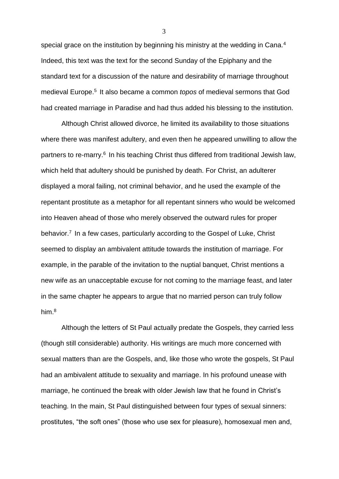special grace on the institution by beginning his ministry at the wedding in Cana.<sup>4</sup> Indeed, this text was the text for the second Sunday of the Epiphany and the standard text for a discussion of the nature and desirability of marriage throughout medieval Europe.<sup>5</sup> It also became a common *topos* of medieval sermons that God had created marriage in Paradise and had thus added his blessing to the institution.

Although Christ allowed divorce, he limited its availability to those situations where there was manifest adultery, and even then he appeared unwilling to allow the partners to re-marry.<sup>6</sup> In his teaching Christ thus differed from traditional Jewish law, which held that adultery should be punished by death. For Christ, an adulterer displayed a moral failing, not criminal behavior, and he used the example of the repentant prostitute as a metaphor for all repentant sinners who would be welcomed into Heaven ahead of those who merely observed the outward rules for proper behavior.<sup>7</sup> In a few cases, particularly according to the Gospel of Luke, Christ seemed to display an ambivalent attitude towards the institution of marriage. For example, in the parable of the invitation to the nuptial banquet, Christ mentions a new wife as an unacceptable excuse for not coming to the marriage feast, and later in the same chapter he appears to argue that no married person can truly follow him.<sup>8</sup>

Although the letters of St Paul actually predate the Gospels, they carried less (though still considerable) authority. His writings are much more concerned with sexual matters than are the Gospels, and, like those who wrote the gospels, St Paul had an ambivalent attitude to sexuality and marriage. In his profound unease with marriage, he continued the break with older Jewish law that he found in Christ's teaching. In the main, St Paul distinguished between four types of sexual sinners: prostitutes, "the soft ones" (those who use sex for pleasure), homosexual men and,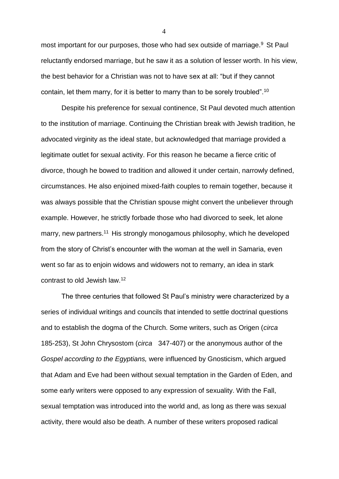most important for our purposes, those who had sex outside of marriage.<sup>9</sup> St Paul reluctantly endorsed marriage, but he saw it as a solution of lesser worth. In his view, the best behavior for a Christian was not to have sex at all: "but if they cannot contain, let them marry, for it is better to marry than to be sorely troubled".<sup>10</sup>

Despite his preference for sexual continence, St Paul devoted much attention to the institution of marriage. Continuing the Christian break with Jewish tradition, he advocated virginity as the ideal state, but acknowledged that marriage provided a legitimate outlet for sexual activity. For this reason he became a fierce critic of divorce, though he bowed to tradition and allowed it under certain, narrowly defined, circumstances. He also enjoined mixed-faith couples to remain together, because it was always possible that the Christian spouse might convert the unbeliever through example. However, he strictly forbade those who had divorced to seek, let alone marry, new partners.<sup>11</sup> His strongly monogamous philosophy, which he developed from the story of Christ's encounter with the woman at the well in Samaria, even went so far as to enjoin widows and widowers not to remarry, an idea in stark contrast to old Jewish law.<sup>12</sup>

The three centuries that followed St Paul's ministry were characterized by a series of individual writings and councils that intended to settle doctrinal questions and to establish the dogma of the Church. Some writers, such as Origen (*circa* 185-253), St John Chrysostom (*circa* 347-407) or the anonymous author of the *Gospel according to the Egyptians,* were influenced by Gnosticism, which argued that Adam and Eve had been without sexual temptation in the Garden of Eden, and some early writers were opposed to any expression of sexuality. With the Fall, sexual temptation was introduced into the world and, as long as there was sexual activity, there would also be death. A number of these writers proposed radical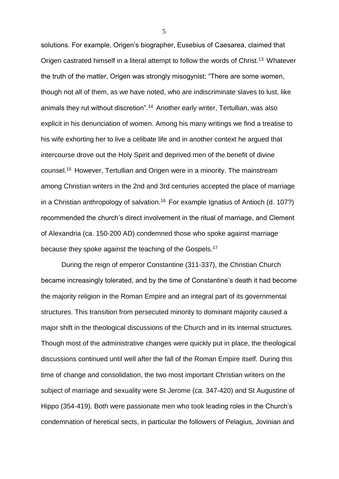solutions. For example, Origen's biographer, Eusebius of Caesarea, claimed that Origen castrated himself in a literal attempt to follow the words of Christ.<sup>13</sup> Whatever the truth of the matter, Origen was strongly misogynist: "There are some women, though not all of them, as we have noted, who are indiscriminate slaves to lust, like animals they rut without discretion".<sup>14</sup> Another early writer, Tertullian, was also explicit in his denunciation of women. Among his many writings we find a treatise to his wife exhorting her to live a celibate life and in another context he argued that intercourse drove out the Holy Spirit and deprived men of the benefit of divine counsel.<sup>15</sup> However, Tertullian and Origen were in a minority. The mainstream among Christian writers in the 2nd and 3rd centuries accepted the place of marriage in a Christian anthropology of salvation.<sup>16</sup> For example Ignatius of Antioch (d. 107?) recommended the church's direct involvement in the ritual of marriage, and Clement of Alexandria (ca. 150-200 AD) condemned those who spoke against marriage because they spoke against the teaching of the Gospels.<sup>17</sup>

During the reign of emperor Constantine (311-337), the Christian Church became increasingly tolerated, and by the time of Constantine's death it had become the majority religion in the Roman Empire and an integral part of its governmental structures. This transition from persecuted minority to dominant majority caused a major shift in the theological discussions of the Church and in its internal structures. Though most of the administrative changes were quickly put in place, the theological discussions continued until well after the fall of the Roman Empire itself. During this time of change and consolidation, the two most important Christian writers on the subject of marriage and sexuality were St Jerome (ca. 347-420) and St Augustine of Hippo (354-419). Both were passionate men who took leading roles in the Church's condemnation of heretical sects, in particular the followers of Pelagius, Jovinian and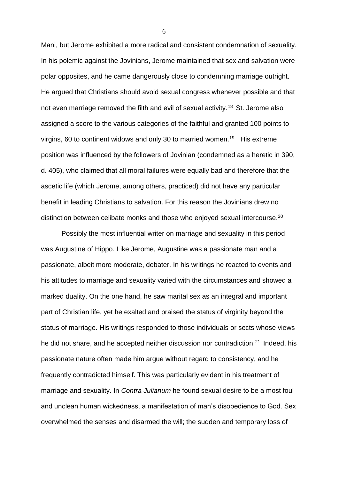Mani, but Jerome exhibited a more radical and consistent condemnation of sexuality. In his polemic against the Jovinians, Jerome maintained that sex and salvation were polar opposites, and he came dangerously close to condemning marriage outright. He argued that Christians should avoid sexual congress whenever possible and that not even marriage removed the filth and evil of sexual activity.<sup>18</sup> St. Jerome also assigned a score to the various categories of the faithful and granted 100 points to virgins, 60 to continent widows and only 30 to married women.<sup>19</sup> His extreme position was influenced by the followers of Jovinian (condemned as a heretic in 390, d. 405), who claimed that all moral failures were equally bad and therefore that the ascetic life (which Jerome, among others, practiced) did not have any particular benefit in leading Christians to salvation. For this reason the Jovinians drew no distinction between celibate monks and those who enjoyed sexual intercourse.<sup>20</sup>

Possibly the most influential writer on marriage and sexuality in this period was Augustine of Hippo. Like Jerome, Augustine was a passionate man and a passionate, albeit more moderate, debater. In his writings he reacted to events and his attitudes to marriage and sexuality varied with the circumstances and showed a marked duality. On the one hand, he saw marital sex as an integral and important part of Christian life, yet he exalted and praised the status of virginity beyond the status of marriage. His writings responded to those individuals or sects whose views he did not share, and he accepted neither discussion nor contradiction.<sup>21</sup> Indeed, his passionate nature often made him argue without regard to consistency, and he frequently contradicted himself. This was particularly evident in his treatment of marriage and sexuality. In *Contra Julianum* he found sexual desire to be a most foul and unclean human wickedness, a manifestation of man's disobedience to God. Sex overwhelmed the senses and disarmed the will; the sudden and temporary loss of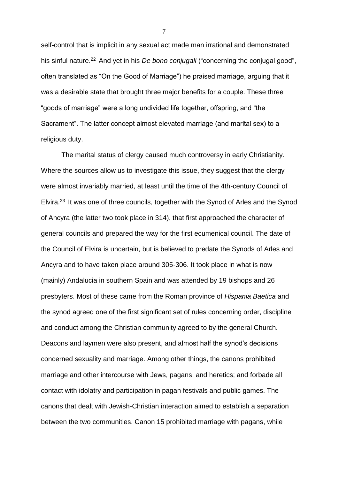self-control that is implicit in any sexual act made man irrational and demonstrated his sinful nature.<sup>22</sup> And yet in his *De bono conjugali* ("concerning the conjugal good", often translated as "On the Good of Marriage") he praised marriage, arguing that it was a desirable state that brought three major benefits for a couple. These three "goods of marriage" were a long undivided life together, offspring, and "the Sacrament". The latter concept almost elevated marriage (and marital sex) to a religious duty.

The marital status of clergy caused much controversy in early Christianity. Where the sources allow us to investigate this issue, they suggest that the clergy were almost invariably married, at least until the time of the 4th-century Council of Elvira.<sup>23</sup> It was one of three councils, together with the Synod of Arles and the Synod of Ancyra (the latter two took place in 314), that first approached the character of general councils and prepared the way for the first ecumenical council. The date of the Council of Elvira is uncertain, but is believed to predate the Synods of Arles and Ancyra and to have taken place around 305-306. It took place in what is now (mainly) Andalucia in southern Spain and was attended by 19 bishops and 26 presbyters. Most of these came from the Roman province of *Hispania Baetica* and the synod agreed one of the first significant set of rules concerning order, discipline and conduct among the Christian community agreed to by the general Church. Deacons and laymen were also present, and almost half the synod's decisions concerned sexuality and marriage. Among other things, the canons prohibited marriage and other intercourse with Jews, pagans, and heretics; and forbade all contact with idolatry and participation in pagan festivals and public games. The canons that dealt with Jewish-Christian interaction aimed to establish a separation between the two communities. Canon 15 prohibited marriage with pagans, while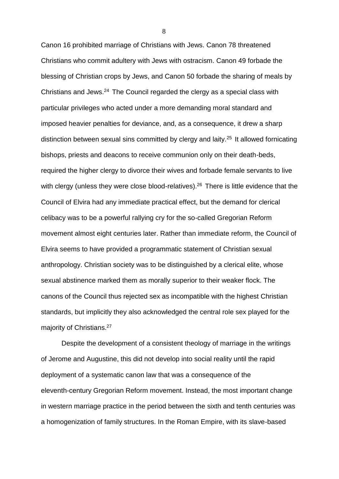Canon 16 prohibited marriage of Christians with Jews. Canon 78 threatened Christians who commit adultery with Jews with ostracism. Canon 49 forbade the blessing of Christian crops by Jews, and Canon 50 forbade the sharing of meals by Christians and Jews.<sup>24</sup> The Council regarded the clergy as a special class with particular privileges who acted under a more demanding moral standard and imposed heavier penalties for deviance, and, as a consequence, it drew a sharp distinction between sexual sins committed by clergy and laity.<sup>25</sup> It allowed fornicating bishops, priests and deacons to receive communion only on their death-beds, required the higher clergy to divorce their wives and forbade female servants to live with clergy (unless they were close blood-relatives).<sup>26</sup> There is little evidence that the Council of Elvira had any immediate practical effect, but the demand for clerical celibacy was to be a powerful rallying cry for the so-called Gregorian Reform movement almost eight centuries later. Rather than immediate reform, the Council of Elvira seems to have provided a programmatic statement of Christian sexual anthropology. Christian society was to be distinguished by a clerical elite, whose sexual abstinence marked them as morally superior to their weaker flock. The canons of the Council thus rejected sex as incompatible with the highest Christian standards, but implicitly they also acknowledged the central role sex played for the majority of Christians.<sup>27</sup>

Despite the development of a consistent theology of marriage in the writings of Jerome and Augustine, this did not develop into social reality until the rapid deployment of a systematic canon law that was a consequence of the eleventh-century Gregorian Reform movement. Instead, the most important change in western marriage practice in the period between the sixth and tenth centuries was a homogenization of family structures. In the Roman Empire, with its slave-based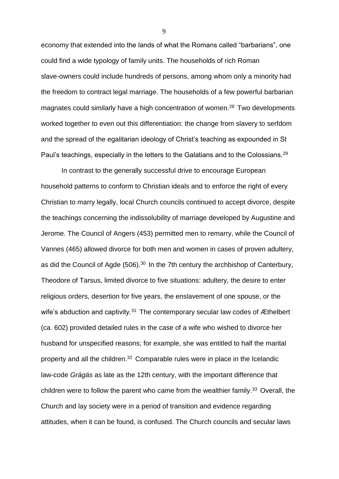economy that extended into the lands of what the Romans called "barbarians", one could find a wide typology of family units. The households of rich Roman slave-owners could include hundreds of persons, among whom only a minority had the freedom to contract legal marriage. The households of a few powerful barbarian magnates could similarly have a high concentration of women.<sup>28</sup> Two developments worked together to even out this differentiation: the change from slavery to serfdom and the spread of the egalitarian ideology of Christ's teaching as expounded in St Paul's teachings, especially in the letters to the Galatians and to the Colossians.<sup>29</sup>

In contrast to the generally successful drive to encourage European household patterns to conform to Christian ideals and to enforce the right of every Christian to marry legally, local Church councils continued to accept divorce, despite the teachings concerning the indissolubility of marriage developed by Augustine and Jerome. The Council of Angers (453) permitted men to remarry, while the Council of Vannes (465) allowed divorce for both men and women in cases of proven adultery, as did the Council of Agde (506).<sup>30</sup> In the 7th century the archbishop of Canterbury, Theodore of Tarsus, limited divorce to five situations: adultery, the desire to enter religious orders, desertion for five years, the enslavement of one spouse, or the wife's abduction and captivity.<sup>31</sup> The contemporary secular law codes of Æthelbert (ca. 602) provided detailed rules in the case of a wife who wished to divorce her husband for unspecified reasons; for example, she was entitled to half the marital property and all the children.<sup>32</sup> Comparable rules were in place in the Icelandic law-code *Grágás* as late as the 12th century, with the important difference that children were to follow the parent who came from the wealthier family.<sup>33</sup> Overall, the Church and lay society were in a period of transition and evidence regarding attitudes, when it can be found, is confused. The Church councils and secular laws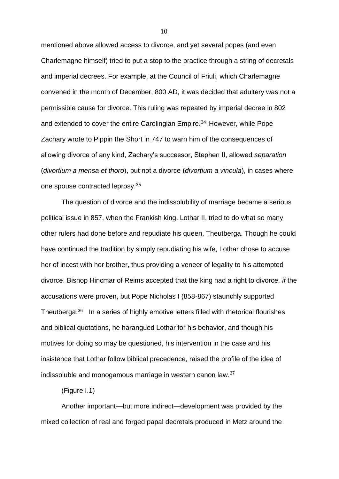mentioned above allowed access to divorce, and yet several popes (and even Charlemagne himself) tried to put a stop to the practice through a string of decretals and imperial decrees. For example, at the Council of Friuli, which Charlemagne convened in the month of December, 800 AD, it was decided that adultery was not a permissible cause for divorce. This ruling was repeated by imperial decree in 802 and extended to cover the entire Carolingian Empire.<sup>34</sup> However, while Pope Zachary wrote to Pippin the Short in 747 to warn him of the consequences of allowing divorce of any kind, Zachary's successor, Stephen II, allowed *separation* (*divortium a mensa et thoro*), but not a divorce (*divortium a vincula*), in cases where one spouse contracted leprosy.<sup>35</sup>

The question of divorce and the indissolubility of marriage became a serious political issue in 857, when the Frankish king, Lothar II, tried to do what so many other rulers had done before and repudiate his queen, Theutberga. Though he could have continued the tradition by simply repudiating his wife, Lothar chose to accuse her of incest with her brother, thus providing a veneer of legality to his attempted divorce. Bishop Hincmar of Reims accepted that the king had a right to divorce, *if* the accusations were proven, but Pope Nicholas I (858-867) staunchly supported Theutberga.<sup>36</sup> In a series of highly emotive letters filled with rhetorical flourishes and biblical quotations, he harangued Lothar for his behavior, and though his motives for doing so may be questioned, his intervention in the case and his insistence that Lothar follow biblical precedence, raised the profile of the idea of indissoluble and monogamous marriage in western canon law.<sup>37</sup>

(Figure I.1)

Another important—but more indirect—development was provided by the mixed collection of real and forged papal decretals produced in Metz around the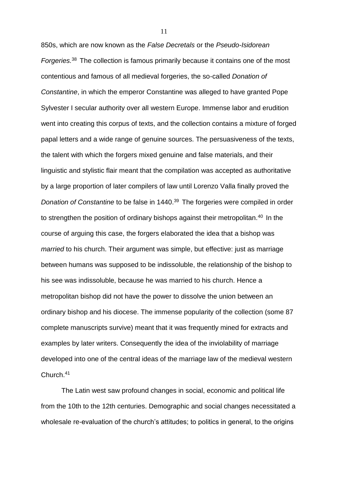850s, which are now known as the *False Decretals* or the *Pseudo-Isidorean Forgeries.*<sup>38</sup> The collection is famous primarily because it contains one of the most contentious and famous of all medieval forgeries, the so-called *Donation of Constantine*, in which the emperor Constantine was alleged to have granted Pope Sylvester I secular authority over all western Europe. Immense labor and erudition went into creating this corpus of texts, and the collection contains a mixture of forged papal letters and a wide range of genuine sources. The persuasiveness of the texts, the talent with which the forgers mixed genuine and false materials, and their linguistic and stylistic flair meant that the compilation was accepted as authoritative by a large proportion of later compilers of law until Lorenzo Valla finally proved the *Donation of Constantine* to be false in 1440.<sup>39</sup> The forgeries were compiled in order to strengthen the position of ordinary bishops against their metropolitan.<sup>40</sup> In the course of arguing this case, the forgers elaborated the idea that a bishop was *married* to his church. Their argument was simple, but effective: just as marriage between humans was supposed to be indissoluble, the relationship of the bishop to his see was indissoluble, because he was married to his church. Hence a metropolitan bishop did not have the power to dissolve the union between an ordinary bishop and his diocese. The immense popularity of the collection (some 87 complete manuscripts survive) meant that it was frequently mined for extracts and examples by later writers. Consequently the idea of the inviolability of marriage developed into one of the central ideas of the marriage law of the medieval western Church.<sup>41</sup>

The Latin west saw profound changes in social, economic and political life from the 10th to the 12th centuries. Demographic and social changes necessitated a wholesale re-evaluation of the church's attitudes; to politics in general, to the origins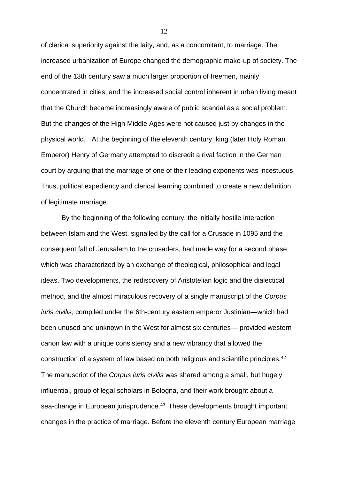of clerical superiority against the laity, and, as a concomitant, to marriage. The increased urbanization of Europe changed the demographic make-up of society. The end of the 13th century saw a much larger proportion of freemen, mainly concentrated in cities, and the increased social control inherent in urban living meant that the Church became increasingly aware of public scandal as a social problem. But the changes of the High Middle Ages were not caused just by changes in the physical world. At the beginning of the eleventh century, king (later Holy Roman Emperor) Henry of Germany attempted to discredit a rival faction in the German court by arguing that the marriage of one of their leading exponents was incestuous. Thus, political expediency and clerical learning combined to create a new definition of legitimate marriage.

By the beginning of the following century, the initially hostile interaction between Islam and the West, signalled by the call for a Crusade in 1095 and the consequent fall of Jerusalem to the crusaders, had made way for a second phase, which was characterized by an exchange of theological, philosophical and legal ideas. Two developments, the rediscovery of Aristotelian logic and the dialectical method, and the almost miraculous recovery of a single manuscript of the *Corpus iuris civilis*, compiled under the 6th-century eastern emperor Justinian—which had been unused and unknown in the West for almost six centuries— provided western canon law with a unique consistency and a new vibrancy that allowed the construction of a system of law based on both religious and scientific principles.<sup>42</sup> The manuscript of the *Corpus iuris civilis* was shared among a small, but hugely influential, group of legal scholars in Bologna, and their work brought about a sea-change in European jurisprudence.<sup>43</sup> These developments brought important changes in the practice of marriage. Before the eleventh century European marriage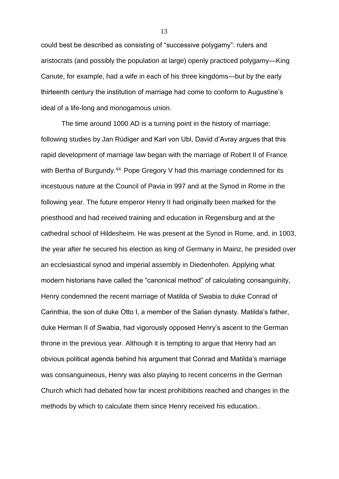could best be described as consisting of "successive polygamy": rulers and aristocrats (and possibly the population at large) openly practiced polygamy—King Canute, for example, had a wife in each of his three kingdoms—but by the early thirteenth century the institution of marriage had come to conform to Augustine's ideal of a life-long and monogamous union.

The time around 1000 AD is a turning point in the history of marriage: following studies by Jan Rüdiger and Karl von Ubl, David d'Avray argues that this rapid development of marriage law began with the marriage of Robert II of France with Bertha of Burgundy.<sup>44</sup> Pope Gregory V had this marriage condemned for its incestuous nature at the Council of Pavia in 997 and at the Synod in Rome in the following year. The future emperor Henry II had originally been marked for the priesthood and had received training and education in Regensburg and at the cathedral school of Hildesheim. He was present at the Synod in Rome, and, in 1003, the year after he secured his election as king of Germany in Mainz, he presided over an ecclesiastical synod and imperial assembly in Diedenhofen. Applying what modern historians have called the "canonical method" of calculating consanguinity, Henry condemned the recent marriage of Matilda of Swabia to duke Conrad of Carinthia, the son of duke Otto I, a member of the Salian dynasty. Matilda's father, duke Herman II of Swabia, had vigorously opposed Henry's ascent to the German throne in the previous year. Although it is tempting to argue that Henry had an obvious political agenda behind his argument that Conrad and Matilda's marriage was consanguineous, Henry was also playing to recent concerns in the German Church which had debated how far incest prohibitions reached and changes in the methods by which to calculate them since Henry received his education..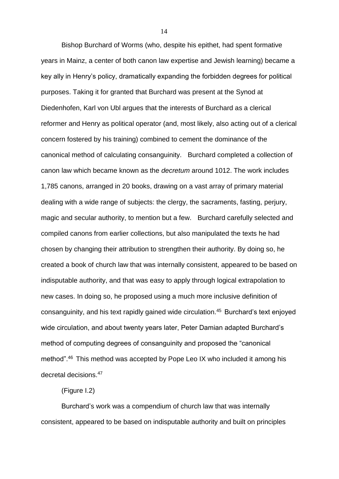Bishop Burchard of Worms (who, despite his epithet, had spent formative years in Mainz, a center of both canon law expertise and Jewish learning) became a key ally in Henry's policy, dramatically expanding the forbidden degrees for political purposes. Taking it for granted that Burchard was present at the Synod at Diedenhofen, Karl von Ubl argues that the interests of Burchard as a clerical reformer and Henry as political operator (and, most likely, also acting out of a clerical concern fostered by his training) combined to cement the dominance of the canonical method of calculating consanguinity. Burchard completed a collection of canon law which became known as the *decretum* around 1012. The work includes 1,785 canons, arranged in 20 books, drawing on a vast array of primary material dealing with a wide range of subjects: the clergy, the sacraments, fasting, perjury, magic and secular authority, to mention but a few. Burchard carefully selected and compiled canons from earlier collections, but also manipulated the texts he had chosen by changing their attribution to strengthen their authority. By doing so, he created a book of church law that was internally consistent, appeared to be based on indisputable authority, and that was easy to apply through logical extrapolation to new cases. In doing so, he proposed using a much more inclusive definition of consanguinity, and his text rapidly gained wide circulation.<sup>45</sup> Burchard's text enjoyed wide circulation, and about twenty years later, Peter Damian adapted Burchard's method of computing degrees of consanguinity and proposed the "canonical method".<sup>46</sup> This method was accepted by Pope Leo IX who included it among his decretal decisions.<sup>47</sup>

(Figure I.2)

Burchard's work was a compendium of church law that was internally consistent, appeared to be based on indisputable authority and built on principles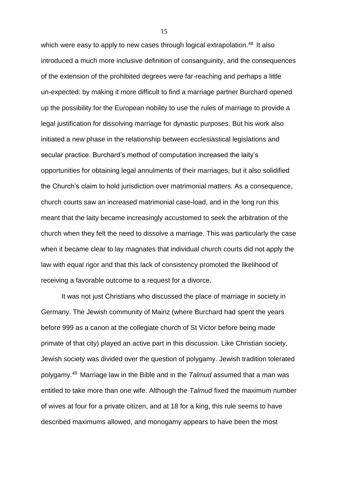which were easy to apply to new cases through logical extrapolation.<sup>48</sup> It also introduced a much more inclusive definition of consanguinity, and the consequences of the extension of the prohibited degrees were far-reaching and perhaps a little un-expected: by making it more difficult to find a marriage partner Burchard opened up the possibility for the European nobility to use the rules of marriage to provide a legal justification for dissolving marriage for dynastic purposes. But his work also initiated a new phase in the relationship between ecclesiastical legislations and secular practice. Burchard's method of computation increased the laity's opportunities for obtaining legal annulments of their marriages, but it also solidified the Church's claim to hold jurisdiction over matrimonial matters. As a consequence, church courts saw an increased matrimonial case-load, and in the long run this meant that the laity became increasingly accustomed to seek the arbitration of the church when they felt the need to dissolve a marriage. This was particularly the case when it became clear to lay magnates that individual church courts did not apply the law with equal rigor and that this lack of consistency promoted the likelihood of receiving a favorable outcome to a request for a divorce.

It was not just Christians who discussed the place of marriage in society in Germany. The Jewish community of Mainz (where Burchard had spent the years before 999 as a canon at the collegiate church of St Victor before being made primate of that city) played an active part in this discussion. Like Christian society, Jewish society was divided over the question of polygamy. Jewish tradition tolerated polygamy.<sup>49</sup> Marriage law in the Bible and in the *Talmud* assumed that a man was entitled to take more than one wife. Although the *Talmud* fixed the maximum number of wives at four for a private citizen, and at 18 for a king, this rule seems to have described maximums allowed, and monogamy appears to have been the most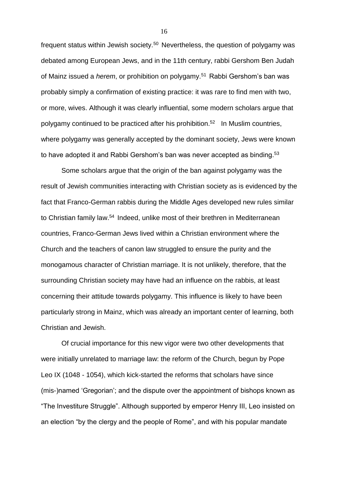frequent status within Jewish society.<sup>50</sup> Nevertheless, the question of polygamy was debated among European Jews, and in the 11th century, rabbi Gershom Ben Judah of Mainz issued a *herem*, or prohibition on polygamy.<sup>51</sup> Rabbi Gershom's ban was probably simply a confirmation of existing practice: it was rare to find men with two, or more, wives. Although it was clearly influential, some modern scholars argue that polygamy continued to be practiced after his prohibition.<sup>52</sup> In Muslim countries, where polygamy was generally accepted by the dominant society, Jews were known to have adopted it and Rabbi Gershom's ban was never accepted as binding.<sup>53</sup>

Some scholars argue that the origin of the ban against polygamy was the result of Jewish communities interacting with Christian society as is evidenced by the fact that Franco-German rabbis during the Middle Ages developed new rules similar to Christian family law.<sup>54</sup> Indeed, unlike most of their brethren in Mediterranean countries, Franco-German Jews lived within a Christian environment where the Church and the teachers of canon law struggled to ensure the purity and the monogamous character of Christian marriage. It is not unlikely, therefore, that the surrounding Christian society may have had an influence on the rabbis, at least concerning their attitude towards polygamy. This influence is likely to have been particularly strong in Mainz, which was already an important center of learning, both Christian and Jewish.

Of crucial importance for this new vigor were two other developments that were initially unrelated to marriage law: the reform of the Church, begun by Pope Leo IX (1048 - 1054), which kick-started the reforms that scholars have since (mis-)named 'Gregorian'; and the dispute over the appointment of bishops known as "The Investiture Struggle". Although supported by emperor Henry III, Leo insisted on an election "by the clergy and the people of Rome", and with his popular mandate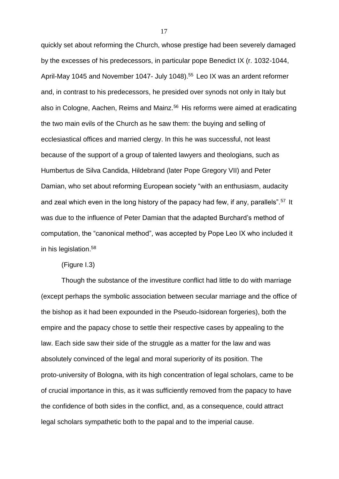quickly set about reforming the Church, whose prestige had been severely damaged by the excesses of his predecessors, in particular pope Benedict IX (r. 1032-1044, April-May 1045 and November 1047- July 1048). <sup>55</sup> Leo IX was an ardent reformer and, in contrast to his predecessors, he presided over synods not only in Italy but also in Cologne, Aachen, Reims and Mainz.<sup>56</sup> His reforms were aimed at eradicating the two main evils of the Church as he saw them: the buying and selling of ecclesiastical offices and married clergy. In this he was successful, not least because of the support of a group of talented lawyers and theologians, such as Humbertus de Silva Candida, Hildebrand (later Pope Gregory VII) and Peter Damian, who set about reforming European society "with an enthusiasm, audacity and zeal which even in the long history of the papacy had few, if any, parallels".<sup>57</sup> It was due to the influence of Peter Damian that the adapted Burchard's method of computation, the "canonical method", was accepted by Pope Leo IX who included it in his legislation.<sup>58</sup>

(Figure I.3)

Though the substance of the investiture conflict had little to do with marriage (except perhaps the symbolic association between secular marriage and the office of the bishop as it had been expounded in the Pseudo-Isidorean forgeries), both the empire and the papacy chose to settle their respective cases by appealing to the law. Each side saw their side of the struggle as a matter for the law and was absolutely convinced of the legal and moral superiority of its position. The proto-university of Bologna, with its high concentration of legal scholars, came to be of crucial importance in this, as it was sufficiently removed from the papacy to have the confidence of both sides in the conflict, and, as a consequence, could attract legal scholars sympathetic both to the papal and to the imperial cause.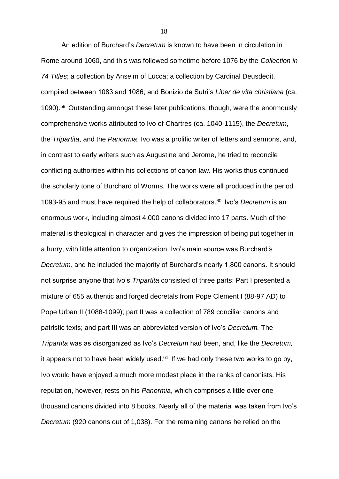An edition of Burchard's *Decretum* is known to have been in circulation in Rome around 1060, and this was followed sometime before 1076 by the *Collection in 74 Titles*; a collection by Anselm of Lucca; a collection by Cardinal Deusdedit, compiled between 1083 and 1086; and Bonizio de Sutri's *Liber de vita christiana* (ca. 1090).<sup>59</sup> Outstanding amongst these later publications, though, were the enormously comprehensive works attributed to Ivo of Chartres (ca. 1040-1115), the *Decretum*, the *Tripartita*, and the *Panormia*. Ivo was a prolific writer of letters and sermons, and, in contrast to early writers such as Augustine and Jerome, he tried to reconcile conflicting authorities within his collections of canon law. His works thus continued the scholarly tone of Burchard of Worms. The works were all produced in the period 1093-95 and must have required the help of collaborators.<sup>60</sup> Ivo's *Decretum* is an enormous work, including almost 4,000 canons divided into 17 parts. Much of the material is theological in character and gives the impression of being put together in a hurry, with little attention to organization. Ivo's main source was Burchard*'*s *Decretum,* and he included the majority of Burchard's nearly 1,800 canons. It should not surprise anyone that Ivo's *Tripartita* consisted of three parts: Part I presented a mixture of 655 authentic and forged decretals from Pope Clement I (88-97 AD) to Pope Urban II (1088-1099); part II was a collection of 789 conciliar canons and patristic texts; and part III was an abbreviated version of Ivo's *Decretum.* The *Tripartita* was as disorganized as Ivo's *Decretum* had been, and, like the *Decretum,* it appears not to have been widely used. $61$  If we had only these two works to go by, Ivo would have enjoyed a much more modest place in the ranks of canonists. His reputation, however, rests on his *Panormia*, which comprises a little over one thousand canons divided into 8 books. Nearly all of the material was taken from Ivo's *Decretum* (920 canons out of 1,038). For the remaining canons he relied on the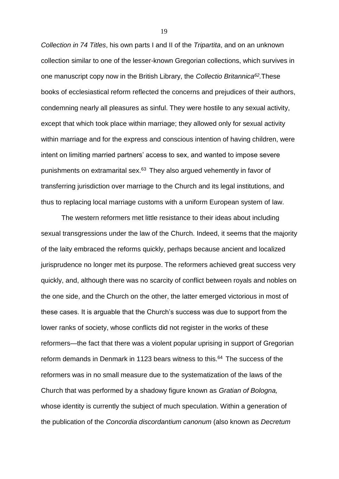*Collection in 74 Titles*, his own parts I and II of the *Tripartita*, and on an unknown collection similar to one of the lesser-known Gregorian collections, which survives in one manuscript copy now in the British Library, the *Collectio Britannica<sup>62</sup> .*These books of ecclesiastical reform reflected the concerns and prejudices of their authors, condemning nearly all pleasures as sinful. They were hostile to any sexual activity, except that which took place within marriage; they allowed only for sexual activity within marriage and for the express and conscious intention of having children, were intent on limiting married partners' access to sex, and wanted to impose severe punishments on extramarital sex.<sup>63</sup> They also argued vehemently in favor of transferring jurisdiction over marriage to the Church and its legal institutions, and thus to replacing local marriage customs with a uniform European system of law.

The western reformers met little resistance to their ideas about including sexual transgressions under the law of the Church. Indeed, it seems that the majority of the laity embraced the reforms quickly, perhaps because ancient and localized jurisprudence no longer met its purpose. The reformers achieved great success very quickly, and, although there was no scarcity of conflict between royals and nobles on the one side, and the Church on the other, the latter emerged victorious in most of these cases. It is arguable that the Church's success was due to support from the lower ranks of society, whose conflicts did not register in the works of these reformers—the fact that there was a violent popular uprising in support of Gregorian reform demands in Denmark in 1123 bears witness to this.<sup>64</sup> The success of the reformers was in no small measure due to the systematization of the laws of the Church that was performed by a shadowy figure known as *Gratian of Bologna,* whose identity is currently the subject of much speculation. Within a generation of the publication of the *Concordia discordantium canonum* (also known as *Decretum*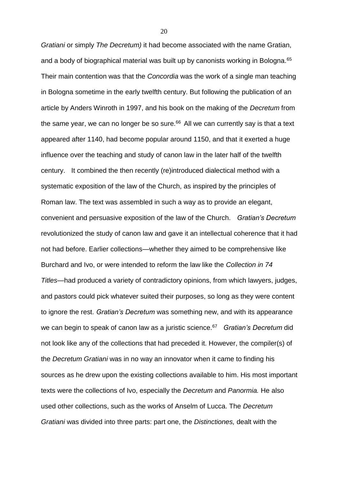*Gratiani* or simply *The Decretum)* it had become associated with the name Gratian, and a body of biographical material was built up by canonists working in Bologna.<sup>65</sup> Their main contention was that the *Concordia* was the work of a single man teaching in Bologna sometime in the early twelfth century. But following the publication of an article by Anders Winroth in 1997, and his book on the making of the *Decretum* from the same year, we can no longer be so sure. $66$  All we can currently say is that a text appeared after 1140, had become popular around 1150, and that it exerted a huge influence over the teaching and study of canon law in the later half of the twelfth century. It combined the then recently (re)introduced dialectical method with a systematic exposition of the law of the Church, as inspired by the principles of Roman law. The text was assembled in such a way as to provide an elegant, convenient and persuasive exposition of the law of the Church. *Gratian's Decretum* revolutionized the study of canon law and gave it an intellectual coherence that it had not had before. Earlier collections—whether they aimed to be comprehensive like Burchard and Ivo, or were intended to reform the law like the *Collection in 74 Titles*—had produced a variety of contradictory opinions, from which lawyers, judges, and pastors could pick whatever suited their purposes, so long as they were content to ignore the rest. *Gratian's Decretum* was something new, and with its appearance we can begin to speak of canon law as a juristic science.<sup>67</sup> Gratian's Decretum did not look like any of the collections that had preceded it. However, the compiler(s) of the *Decretum Gratiani* was in no way an innovator when it came to finding his sources as he drew upon the existing collections available to him. His most important texts were the collections of Ivo, especially the *Decretum* and *Panormia.* He also used other collections, such as the works of Anselm of Lucca. The *Decretum Gratiani* was divided into three parts: part one, the *Distinctiones,* dealt with the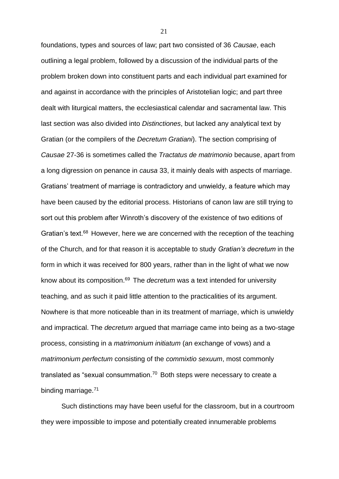foundations, types and sources of law; part two consisted of 36 *Causae*, each outlining a legal problem, followed by a discussion of the individual parts of the problem broken down into constituent parts and each individual part examined for and against in accordance with the principles of Aristotelian logic; and part three dealt with liturgical matters, the ecclesiastical calendar and sacramental law. This last section was also divided into *Distinctiones*, but lacked any analytical text by Gratian (or the compilers of the *Decretum Gratiani*). The section comprising of *Causae* 27-36 is sometimes called the *Tractatus de matrimonio* because, apart from a long digression on penance in *causa* 33, it mainly deals with aspects of marriage. Gratians' treatment of marriage is contradictory and unwieldy, a feature which may have been caused by the editorial process. Historians of canon law are still trying to sort out this problem after Winroth's discovery of the existence of two editions of Gratian's text.<sup>68</sup> However, here we are concerned with the reception of the teaching of the Church, and for that reason it is acceptable to study *Gratian's decretum* in the form in which it was received for 800 years, rather than in the light of what we now know about its composition.<sup>69</sup> The *decretum* was a text intended for university teaching, and as such it paid little attention to the practicalities of its argument. Nowhere is that more noticeable than in its treatment of marriage, which is unwieldy and impractical. The *decretum* argued that marriage came into being as a two-stage process, consisting in a *matrimonium initiatum* (an exchange of vows) and a *matrimonium perfectum* consisting of the *commixtio sexuum*, most commonly translated as "sexual consummation.<sup>70</sup> Both steps were necessary to create a binding marriage.<sup>71</sup>

Such distinctions may have been useful for the classroom, but in a courtroom they were impossible to impose and potentially created innumerable problems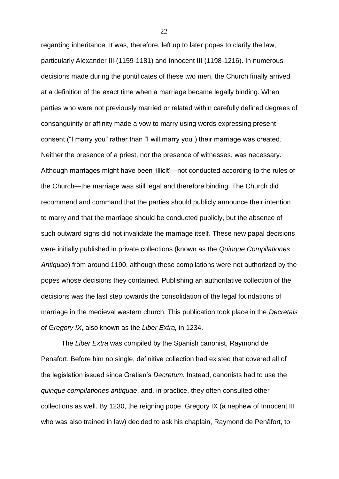regarding inheritance. It was, therefore, left up to later popes to clarify the law, particularly Alexander III (1159-1181) and Innocent III (1198-1216). In numerous decisions made during the pontificates of these two men, the Church finally arrived at a definition of the exact time when a marriage became legally binding. When parties who were not previously married or related within carefully defined degrees of consanguinity or affinity made a vow to marry using words expressing present consent ("I marry you" rather than "I will marry you") their marriage was created. Neither the presence of a priest, nor the presence of witnesses, was necessary. Although marriages might have been 'illicit'—not conducted according to the rules of the Church—the marriage was still legal and therefore binding. The Church did recommend and command that the parties should publicly announce their intention to marry and that the marriage should be conducted publicly, but the absence of such outward signs did not invalidate the marriage itself. These new papal decisions were initially published in private collections (known as the *Quinque Compilationes Antiquae*) from around 1190, although these compilations were not authorized by the popes whose decisions they contained. Publishing an authoritative collection of the decisions was the last step towards the consolidation of the legal foundations of marriage in the medieval western church. This publication took place in the *Decretals of Gregory IX*, also known as the *Liber Extra,* in 1234.

The *Liber Extra* was compiled by the Spanish canonist, Raymond de Penafort. Before him no single, definitive collection had existed that covered all of the legislation issued since Gratian's *Decretum.* Instead, canonists had to use the *quinque compilationes antiquae*, and, in practice, they often consulted other collections as well. By 1230, the reigning pope, Gregory IX (a nephew of Innocent III who was also trained in law) decided to ask his chaplain, Raymond de Penãfort, to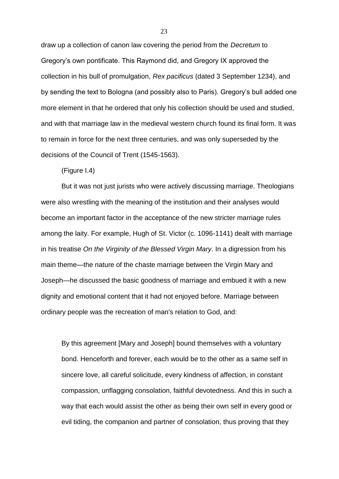draw up a collection of canon law covering the period from the *Decretum* to Gregory's own pontificate. This Raymond did, and Gregory IX approved the collection in his bull of promulgation, *Rex pacificus* (dated 3 September 1234), and by sending the text to Bologna (and possibly also to Paris). Gregory's bull added one more element in that he ordered that only his collection should be used and studied, and with that marriage law in the medieval western church found its final form. It was to remain in force for the next three centuries, and was only superseded by the decisions of the Council of Trent (1545-1563).

## (Figure I.4)

But it was not just jurists who were actively discussing marriage. Theologians were also wrestling with the meaning of the institution and their analyses would become an important factor in the acceptance of the new stricter marriage rules among the laity. For example, Hugh of St. Victor (c. 1096-1141) dealt with marriage in his treatise *On the Virginity of the Blessed Virgin Mary*. In a digression from his main theme—the nature of the chaste marriage between the Virgin Mary and Joseph—he discussed the basic goodness of marriage and embued it with a new dignity and emotional content that it had not enjoyed before. Marriage between ordinary people was the recreation of man's relation to God, and:

By this agreement [Mary and Joseph] bound themselves with a voluntary bond. Henceforth and forever, each would be to the other as a same self in sincere love, all careful solicitude, every kindness of affection, in constant compassion, unflagging consolation, faithful devotedness. And this in such a way that each would assist the other as being their own self in every good or evil tiding, the companion and partner of consolation, thus proving that they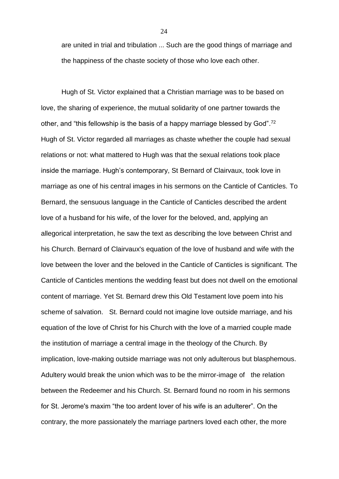are united in trial and tribulation ... Such are the good things of marriage and the happiness of the chaste society of those who love each other.

Hugh of St. Victor explained that a Christian marriage was to be based on love, the sharing of experience, the mutual solidarity of one partner towards the other, and "this fellowship is the basis of a happy marriage blessed by God".<sup>72</sup> Hugh of St. Victor regarded all marriages as chaste whether the couple had sexual relations or not: what mattered to Hugh was that the sexual relations took place inside the marriage. Hugh's contemporary, St Bernard of Clairvaux, took love in marriage as one of his central images in his sermons on the Canticle of Canticles. To Bernard, the sensuous language in the Canticle of Canticles described the ardent love of a husband for his wife, of the lover for the beloved, and, applying an allegorical interpretation, he saw the text as describing the love between Christ and his Church. Bernard of Clairvaux's equation of the love of husband and wife with the love between the lover and the beloved in the Canticle of Canticles is significant. The Canticle of Canticles mentions the wedding feast but does not dwell on the emotional content of marriage. Yet St. Bernard drew this Old Testament love poem into his scheme of salvation. St. Bernard could not imagine love outside marriage, and his equation of the love of Christ for his Church with the love of a married couple made the institution of marriage a central image in the theology of the Church. By implication, love-making outside marriage was not only adulterous but blasphemous. Adultery would break the union which was to be the mirror-image of the relation between the Redeemer and his Church. St. Bernard found no room in his sermons for St. Jerome's maxim "the too ardent lover of his wife is an adulterer". On the contrary, the more passionately the marriage partners loved each other, the more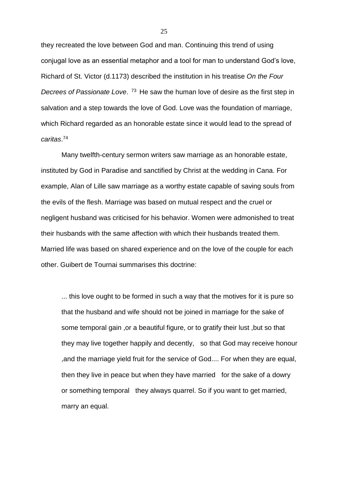they recreated the love between God and man. Continuing this trend of using conjugal love as an essential metaphor and a tool for man to understand God's love, Richard of St. Victor (d.1173) described the institution in his treatise *On the Four Decrees of Passionate Love*. <sup>73</sup> He saw the human love of desire as the first step in salvation and a step towards the love of God. Love was the foundation of marriage, which Richard regarded as an honorable estate since it would lead to the spread of *caritas*. 74

Many twelfth-century sermon writers saw marriage as an honorable estate, instituted by God in Paradise and sanctified by Christ at the wedding in Cana. For example, Alan of Lille saw marriage as a worthy estate capable of saving souls from the evils of the flesh. Marriage was based on mutual respect and the cruel or negligent husband was criticised for his behavior. Women were admonished to treat their husbands with the same affection with which their husbands treated them. Married life was based on shared experience and on the love of the couple for each other. Guibert de Tournai summarises this doctrine:

... this love ought to be formed in such a way that the motives for it is pure so that the husband and wife should not be joined in marriage for the sake of some temporal gain ,or a beautiful figure, or to gratify their lust ,but so that they may live together happily and decently, so that God may receive honour ,and the marriage yield fruit for the service of God.... For when they are equal, then they live in peace but when they have married for the sake of a dowry or something temporal they always quarrel. So if you want to get married, marry an equal.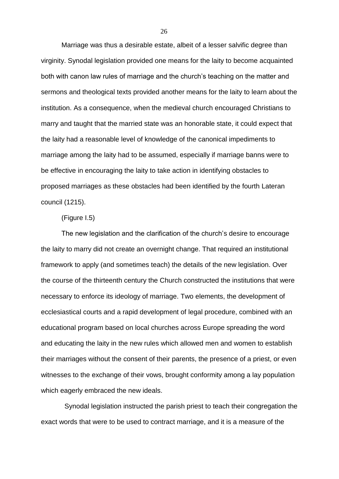Marriage was thus a desirable estate, albeit of a lesser salvific degree than virginity. Synodal legislation provided one means for the laity to become acquainted both with canon law rules of marriage and the church's teaching on the matter and sermons and theological texts provided another means for the laity to learn about the institution. As a consequence, when the medieval church encouraged Christians to marry and taught that the married state was an honorable state, it could expect that the laity had a reasonable level of knowledge of the canonical impediments to marriage among the laity had to be assumed, especially if marriage banns were to be effective in encouraging the laity to take action in identifying obstacles to proposed marriages as these obstacles had been identified by the fourth Lateran council (1215).

#### (Figure I.5)

The new legislation and the clarification of the church's desire to encourage the laity to marry did not create an overnight change. That required an institutional framework to apply (and sometimes teach) the details of the new legislation. Over the course of the thirteenth century the Church constructed the institutions that were necessary to enforce its ideology of marriage. Two elements, the development of ecclesiastical courts and a rapid development of legal procedure, combined with an educational program based on local churches across Europe spreading the word and educating the laity in the new rules which allowed men and women to establish their marriages without the consent of their parents, the presence of a priest, or even witnesses to the exchange of their vows, brought conformity among a lay population which eagerly embraced the new ideals.

Synodal legislation instructed the parish priest to teach their congregation the exact words that were to be used to contract marriage, and it is a measure of the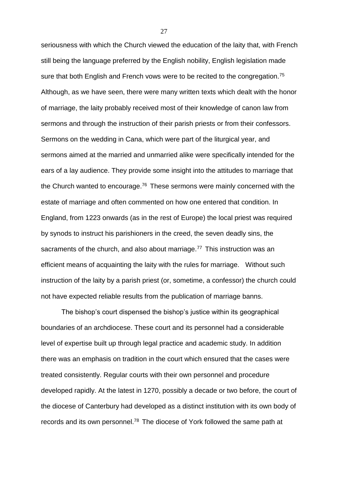seriousness with which the Church viewed the education of the laity that, with French still being the language preferred by the English nobility, English legislation made sure that both English and French vows were to be recited to the congregation.<sup>75</sup> Although, as we have seen, there were many written texts which dealt with the honor of marriage, the laity probably received most of their knowledge of canon law from sermons and through the instruction of their parish priests or from their confessors. Sermons on the wedding in Cana, which were part of the liturgical year, and sermons aimed at the married and unmarried alike were specifically intended for the ears of a lay audience. They provide some insight into the attitudes to marriage that the Church wanted to encourage.<sup>76</sup> These sermons were mainly concerned with the estate of marriage and often commented on how one entered that condition. In England, from 1223 onwards (as in the rest of Europe) the local priest was required by synods to instruct his parishioners in the creed, the seven deadly sins, the sacraments of the church, and also about marriage.<sup>77</sup> This instruction was an efficient means of acquainting the laity with the rules for marriage. Without such instruction of the laity by a parish priest (or, sometime, a confessor) the church could not have expected reliable results from the publication of marriage banns.

The bishop's court dispensed the bishop's justice within its geographical boundaries of an archdiocese. These court and its personnel had a considerable level of expertise built up through legal practice and academic study. In addition there was an emphasis on tradition in the court which ensured that the cases were treated consistently. Regular courts with their own personnel and procedure developed rapidly. At the latest in 1270, possibly a decade or two before, the court of the diocese of Canterbury had developed as a distinct institution with its own body of records and its own personnel.<sup>78</sup> The diocese of York followed the same path at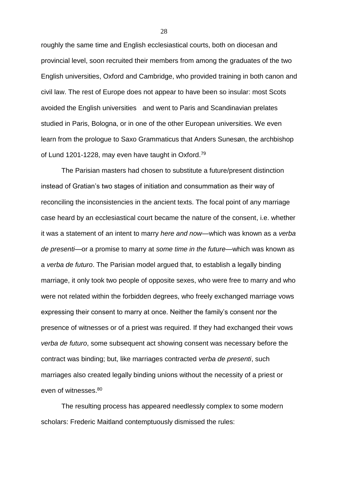roughly the same time and English ecclesiastical courts, both on diocesan and provincial level, soon recruited their members from among the graduates of the two English universities, Oxford and Cambridge, who provided training in both canon and civil law. The rest of Europe does not appear to have been so insular: most Scots avoided the English universities and went to Paris and Scandinavian prelates studied in Paris, Bologna, or in one of the other European universities. We even learn from the prologue to Saxo Grammaticus that Anders Sunesøn, the archbishop of Lund 1201-1228, may even have taught in Oxford.<sup>79</sup>

The Parisian masters had chosen to substitute a future/present distinction instead of Gratian's two stages of initiation and consummation as their way of reconciling the inconsistencies in the ancient texts. The focal point of any marriage case heard by an ecclesiastical court became the nature of the consent, i.e. whether it was a statement of an intent to marry *here and now*—which was known as a *verba de presenti*—or a promise to marry at *some time in the future*—which was known as a *verba de futuro*. The Parisian model argued that, to establish a legally binding marriage, it only took two people of opposite sexes, who were free to marry and who were not related within the forbidden degrees, who freely exchanged marriage vows expressing their consent to marry at once. Neither the family's consent nor the presence of witnesses or of a priest was required. If they had exchanged their vows *verba de futuro*, some subsequent act showing consent was necessary before the contract was binding; but, like marriages contracted *verba de presenti*, such marriages also created legally binding unions without the necessity of a priest or even of witnesses.<sup>80</sup>

The resulting process has appeared needlessly complex to some modern scholars: Frederic Maitland contemptuously dismissed the rules: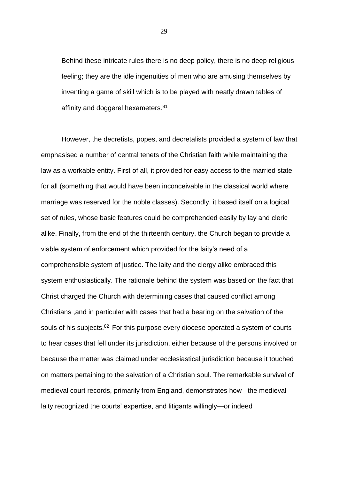Behind these intricate rules there is no deep policy, there is no deep religious feeling; they are the idle ingenuities of men who are amusing themselves by inventing a game of skill which is to be played with neatly drawn tables of affinity and doggerel hexameters.<sup>81</sup>

However, the decretists, popes, and decretalists provided a system of law that emphasised a number of central tenets of the Christian faith while maintaining the law as a workable entity. First of all, it provided for easy access to the married state for all (something that would have been inconceivable in the classical world where marriage was reserved for the noble classes). Secondly, it based itself on a logical set of rules, whose basic features could be comprehended easily by lay and cleric alike. Finally, from the end of the thirteenth century, the Church began to provide a viable system of enforcement which provided for the laity's need of a comprehensible system of justice. The laity and the clergy alike embraced this system enthusiastically. The rationale behind the system was based on the fact that Christ charged the Church with determining cases that caused conflict among Christians ,and in particular with cases that had a bearing on the salvation of the souls of his subjects.<sup>82</sup> For this purpose every diocese operated a system of courts to hear cases that fell under its jurisdiction, either because of the persons involved or because the matter was claimed under ecclesiastical jurisdiction because it touched on matters pertaining to the salvation of a Christian soul. The remarkable survival of medieval court records, primarily from England, demonstrates how the medieval laity recognized the courts' expertise, and litigants willingly—or indeed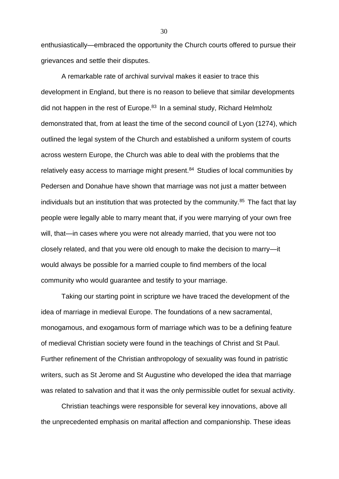enthusiastically—embraced the opportunity the Church courts offered to pursue their grievances and settle their disputes.

A remarkable rate of archival survival makes it easier to trace this development in England, but there is no reason to believe that similar developments did not happen in the rest of Europe. $83$  In a seminal study, Richard Helmholz demonstrated that, from at least the time of the second council of Lyon (1274), which outlined the legal system of the Church and established a uniform system of courts across western Europe, the Church was able to deal with the problems that the relatively easy access to marriage might present.<sup>84</sup> Studies of local communities by Pedersen and Donahue have shown that marriage was not just a matter between individuals but an institution that was protected by the community.<sup>85</sup> The fact that lay people were legally able to marry meant that, if you were marrying of your own free will, that—in cases where you were not already married, that you were not too closely related, and that you were old enough to make the decision to marry—it would always be possible for a married couple to find members of the local community who would guarantee and testify to your marriage.

Taking our starting point in scripture we have traced the development of the idea of marriage in medieval Europe. The foundations of a new sacramental, monogamous, and exogamous form of marriage which was to be a defining feature of medieval Christian society were found in the teachings of Christ and St Paul. Further refinement of the Christian anthropology of sexuality was found in patristic writers, such as St Jerome and St Augustine who developed the idea that marriage was related to salvation and that it was the only permissible outlet for sexual activity.

Christian teachings were responsible for several key innovations, above all the unprecedented emphasis on marital affection and companionship. These ideas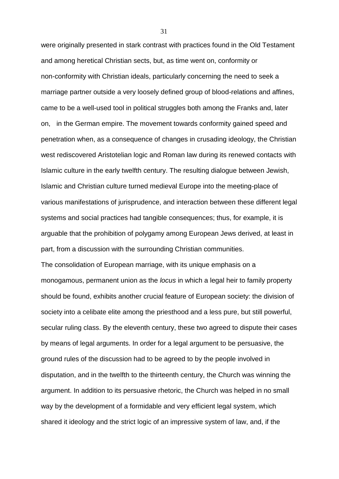were originally presented in stark contrast with practices found in the Old Testament and among heretical Christian sects, but, as time went on, conformity or non-conformity with Christian ideals, particularly concerning the need to seek a marriage partner outside a very loosely defined group of blood-relations and affines, came to be a well-used tool in political struggles both among the Franks and, later on, in the German empire. The movement towards conformity gained speed and penetration when, as a consequence of changes in crusading ideology, the Christian west rediscovered Aristotelian logic and Roman law during its renewed contacts with Islamic culture in the early twelfth century. The resulting dialogue between Jewish, Islamic and Christian culture turned medieval Europe into the meeting-place of various manifestations of jurisprudence, and interaction between these different legal systems and social practices had tangible consequences; thus, for example, it is arguable that the prohibition of polygamy among European Jews derived, at least in part, from a discussion with the surrounding Christian communities.

The consolidation of European marriage, with its unique emphasis on a monogamous, permanent union as the *locus* in which a legal heir to family property should be found, exhibits another crucial feature of European society: the division of society into a celibate elite among the priesthood and a less pure, but still powerful, secular ruling class. By the eleventh century, these two agreed to dispute their cases by means of legal arguments. In order for a legal argument to be persuasive, the ground rules of the discussion had to be agreed to by the people involved in disputation, and in the twelfth to the thirteenth century, the Church was winning the argument. In addition to its persuasive rhetoric, the Church was helped in no small way by the development of a formidable and very efficient legal system, which shared it ideology and the strict logic of an impressive system of law, and, if the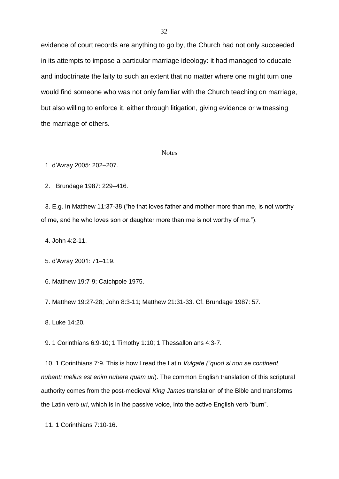evidence of court records are anything to go by, the Church had not only succeeded in its attempts to impose a particular marriage ideology: it had managed to educate and indoctrinate the laity to such an extent that no matter where one might turn one would find someone who was not only familiar with the Church teaching on marriage, but also willing to enforce it, either through litigation, giving evidence or witnessing the marriage of others.

#### **Notes**

1. d'Avray 2005: 202–207.

2. Brundage 1987: 229–416.

3. E.g. In Matthew 11:37-38 ("he that loves father and mother more than me, is not worthy of me, and he who loves son or daughter more than me is not worthy of me.").

4. John 4:2-11.

5. d'Avray 2001: 71–119.

6. Matthew 19:7-9; Catchpole 1975.

7. Matthew 19:27-28; John 8:3-11; Matthew 21:31-33. Cf. Brundage 1987: 57.

8. Luke 14:20.

9. 1 Corinthians 6:9-10; 1 Timothy 1:10; 1 Thessallonians 4:3-7.

10. 1 Corinthians 7:9. This is how I read the Latin *Vulgate ("quod si non se continent nubant: melius est enim nubere quam uri*). The common English translation of this scriptural authority comes from the post-medieval *King James* translation of the Bible and transforms the Latin verb *uri*, which is in the passive voice, into the active English verb "burn".

11. 1 Corinthians 7:10-16.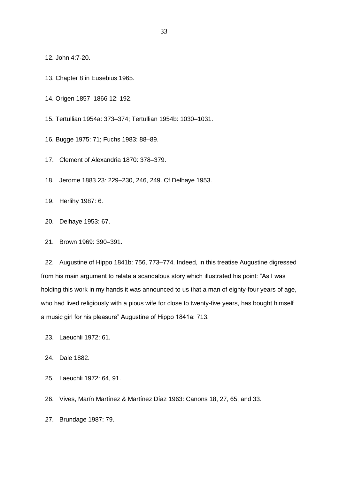12. John 4:7-20.

- 13. Chapter 8 in Eusebius 1965.
- 14. Origen 1857–1866 12: 192.

15. Tertullian 1954a: 373–374; Tertullian 1954b: 1030–1031.

16. Bugge 1975: 71; Fuchs 1983: 88–89.

- 17. Clement of Alexandria 1870: 378–379.
- 18. Jerome 1883 23: 229–230, 246, 249. Cf Delhaye 1953.
- 19. Herlihy 1987: 6.
- 20. Delhaye 1953: 67.
- 21. Brown 1969: 390–391.

22. Augustine of Hippo 1841b: 756, 773–774. Indeed, in this treatise Augustine digressed from his main argument to relate a scandalous story which illustrated his point: "As I was holding this work in my hands it was announced to us that a man of eighty-four years of age, who had lived religiously with a pious wife for close to twenty-five years, has bought himself a music girl for his pleasure" Augustine of Hippo 1841a: 713.

- 23. Laeuchli 1972: 61.
- 24. Dale 1882.
- 25. Laeuchli 1972: 64, 91.

26. Vives, Marín Martínez & Martínez Díaz 1963: Canons 18, 27, 65, and 33.

27. Brundage 1987: 79.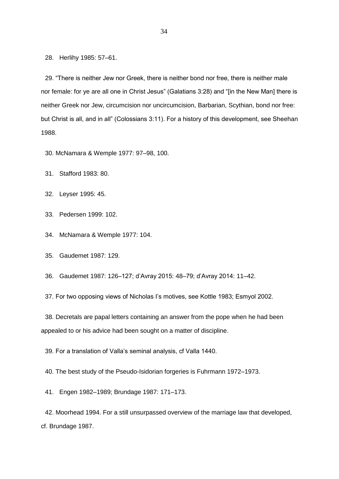28. Herlihy 1985: 57–61.

29. "There is neither Jew nor Greek, there is neither bond nor free, there is neither male nor female: for ye are all one in Christ Jesus" (Galatians 3:28) and "[in the New Man] there is neither Greek nor Jew, circumcision nor uncircumcision, Barbarian, Scythian, bond nor free: but Christ is all, and in all" (Colossians 3:11). For a history of this development, see Sheehan 1988.

30. McNamara & Wemple 1977: 97–98, 100.

31. Stafford 1983: 80.

32. Leyser 1995: 45.

33. Pedersen 1999: 102.

34. McNamara & Wemple 1977: 104.

35. Gaudemet 1987: 129.

36. Gaudemet 1987: 126–127; d'Avray 2015: 48–79; d'Avray 2014: 11–42.

37. For two opposing views of Nicholas I's motives, see Kottle 1983; Esmyol 2002.

38. Decretals are papal letters containing an answer from the pope when he had been appealed to or his advice had been sought on a matter of discipline.

39. For a translation of Valla's seminal analysis, cf Valla 1440.

40. The best study of the Pseudo-Isidorian forgeries is Fuhrmann 1972–1973.

41. Engen 1982–1989; Brundage 1987: 171–173.

42. Moorhead 1994. For a still unsurpassed overview of the marriage law that developed, cf. Brundage 1987.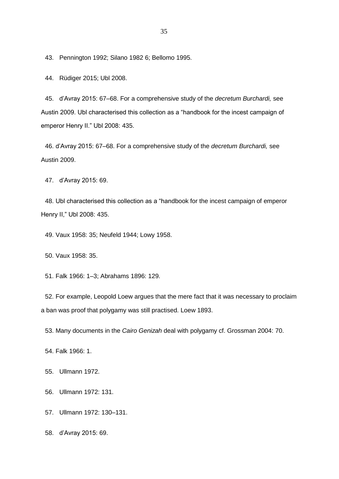43. Pennington 1992; Silano 1982 6; Bellomo 1995.

44. Rüdiger 2015; Ubl 2008.

45. d'Avray 2015: 67–68. For a comprehensive study of the *decretum Burchardi,* see Austin 2009. Ubl characterised this collection as a "handbook for the incest campaign of emperor Henry II." Ubl 2008: 435.

46. d'Avray 2015: 67–68. For a comprehensive study of the *decretum Burchardi,* see Austin 2009.

47. d'Avray 2015: 69.

48. Ubl characterised this collection as a "handbook for the incest campaign of emperor Henry II," Ubl 2008: 435.

49. Vaux 1958: 35; Neufeld 1944; Lowy 1958.

50. Vaux 1958: 35.

51. Falk 1966: 1–3; Abrahams 1896: 129.

52. For example, Leopold Loew argues that the mere fact that it was necessary to proclaim a ban was proof that polygamy was still practised. Loew 1893.

53. Many documents in the *Cairo Genizah* deal with polygamy cf. Grossman 2004: 70.

54. Falk 1966: 1.

55. Ullmann 1972.

- 56. Ullmann 1972: 131.
- 57. Ullmann 1972: 130–131.
- 58. d'Avray 2015: 69.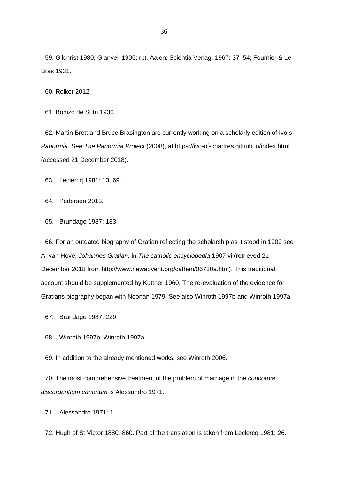59. Gilchrist 1980; Glanvell 1905; rpt. Aalen: Scientia Verlag, 1967: 37–54; Fournier & Le Bras 1931.

60. Rolker 2012.

61. Bonizo de Sutri 1930.

62. Martin Brett and Bruce Brasington are currently working on a scholarly edition of Ivo s *Panormia*. See *The Panormia Project* (2008), at https://ivo-of-chartres.github.io/index.html (accessed 21 December 2018).

63. Leclercq 1981: 13, 69.

64. Pedersen 2013.

65. Brundage 1987: 183.

66. For an outdated biography of Gratian reflecting the scholarship as it stood in 1909 see A. van Hove, *Johannes Gratian,* in *The catholic encyclopedia* 1907 vi (retrieved 21 December 2018 from http://www.newadvent.org/cathen/06730a.htm). This traditional account should be supplemented by Kuttner 1960. The re-evaluation of the evidence for Gratians biography began with Noonan 1979. See also Winroth 1997b and Winroth 1997a.

67. Brundage 1987: 229.

68. Winroth 1997b; Winroth 1997a.

69. In addition to the already mentioned works, see Winroth 2006.

70. The most comprehensive treatment of the problem of marriage in the *concordia discordantium canonum* is Alessandro 1971.

71. Alessandro 1971: 1.

72. Hugh of St Victor 1880: 860. Part of the translation is taken from Leclercq 1981: 26.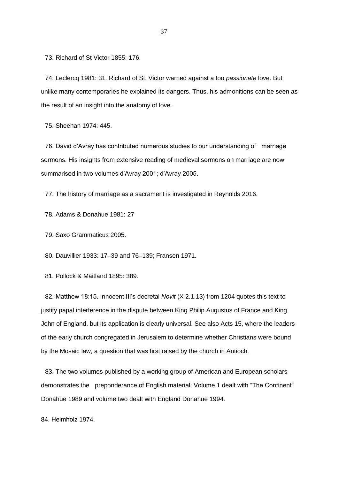73. Richard of St Victor 1855: 176.

74. Leclercq 1981: 31. Richard of St. Victor warned against a too *passionate* love. But unlike many contemporaries he explained its dangers. Thus, his admonitions can be seen as the result of an insight into the anatomy of love.

75. Sheehan 1974: 445.

76. David d'Avray has contributed numerous studies to our understanding of marriage sermons. His insights from extensive reading of medieval sermons on marriage are now summarised in two volumes d'Avray 2001; d'Avray 2005.

77. The history of marriage as a sacrament is investigated in Reynolds 2016.

78. Adams & Donahue 1981: 27

79. Saxo Grammaticus 2005.

80. Dauvillier 1933: 17–39 and 76–139; Fransen 1971.

81. Pollock & Maitland 1895: 389.

82. Matthew 18:15. Innocent III's decretal *Novit* (X 2.1.13) from 1204 quotes this text to justify papal interference in the dispute between King Philip Augustus of France and King John of England, but its application is clearly universal. See also Acts 15, where the leaders of the early church congregated in Jerusalem to determine whether Christians were bound by the Mosaic law, a question that was first raised by the church in Antioch.

83. The two volumes published by a working group of American and European scholars demonstrates the preponderance of English material: Volume 1 dealt with "The Continent" Donahue 1989 and volume two dealt with England Donahue 1994.

84. Helmholz 1974.